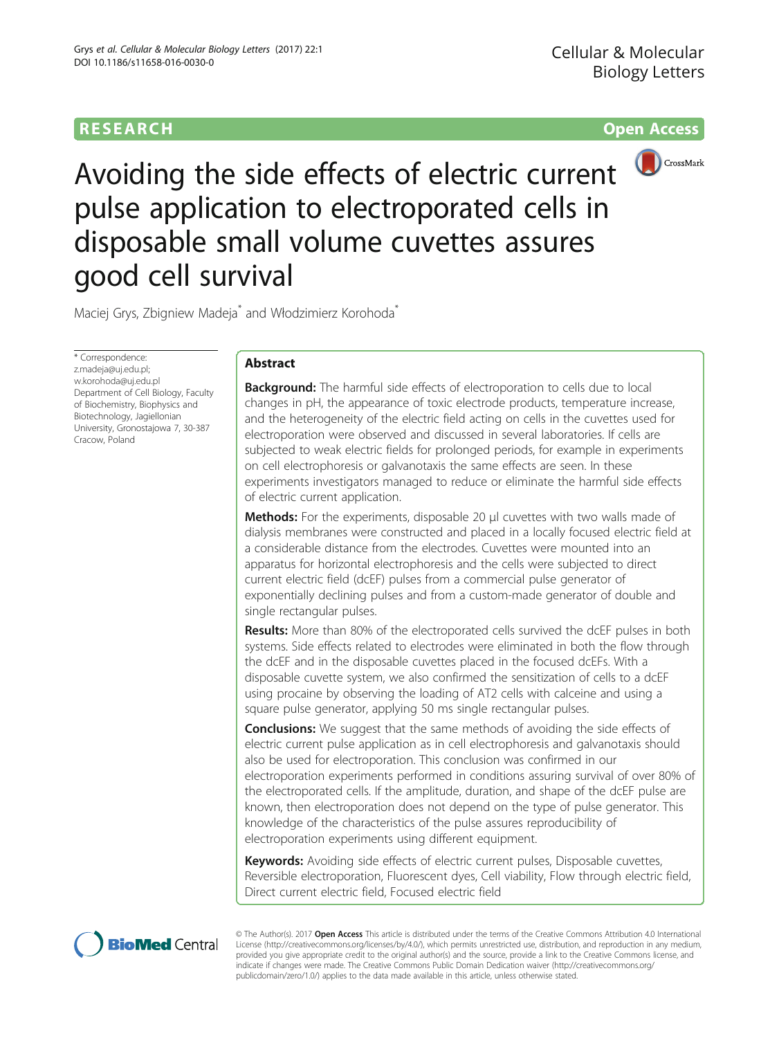# **RESEARCH CHILD CONTROL** CONTROL CONTROL CONTROL CONTROL CONTROL CONTROL CONTROL CONTROL CONTROL CONTROL CONTROL CONTROL CONTROL CONTROL CONTROL CONTROL CONTROL CONTROL CONTROL CONTROL CONTROL CONTROL CONTROL CONTROL CONTR



Avoiding the side effects of electric current pulse application to electroporated cells in disposable small volume cuvettes assures good cell survival

Maciej Grys, Zbigniew Madeja<sup>\*</sup> and Włodzimierz Korohoda<sup>\*</sup>

\* Correspondence: [z.madeja@uj.edu.pl](mailto:z.madeja@uj.edu.pl); [w.korohoda@uj.edu.pl](mailto:w.korohoda@uj.edu.pl) Department of Cell Biology, Faculty of Biochemistry, Biophysics and Biotechnology, Jagiellonian University, Gronostajowa 7, 30-387 Cracow, Poland

# Abstract

**Background:** The harmful side effects of electroporation to cells due to local changes in pH, the appearance of toxic electrode products, temperature increase, and the heterogeneity of the electric field acting on cells in the cuvettes used for electroporation were observed and discussed in several laboratories. If cells are subjected to weak electric fields for prolonged periods, for example in experiments on cell electrophoresis or galvanotaxis the same effects are seen. In these experiments investigators managed to reduce or eliminate the harmful side effects of electric current application.

Methods: For the experiments, disposable 20 μl cuvettes with two walls made of dialysis membranes were constructed and placed in a locally focused electric field at a considerable distance from the electrodes. Cuvettes were mounted into an apparatus for horizontal electrophoresis and the cells were subjected to direct current electric field (dcEF) pulses from a commercial pulse generator of exponentially declining pulses and from a custom-made generator of double and single rectangular pulses.

Results: More than 80% of the electroporated cells survived the dcEF pulses in both systems. Side effects related to electrodes were eliminated in both the flow through the dcEF and in the disposable cuvettes placed in the focused dcEFs. With a disposable cuvette system, we also confirmed the sensitization of cells to a dcEF using procaine by observing the loading of AT2 cells with calceine and using a square pulse generator, applying 50 ms single rectangular pulses.

**Conclusions:** We suggest that the same methods of avoiding the side effects of electric current pulse application as in cell electrophoresis and galvanotaxis should also be used for electroporation. This conclusion was confirmed in our electroporation experiments performed in conditions assuring survival of over 80% of the electroporated cells. If the amplitude, duration, and shape of the dcEF pulse are known, then electroporation does not depend on the type of pulse generator. This knowledge of the characteristics of the pulse assures reproducibility of electroporation experiments using different equipment.

Keywords: Avoiding side effects of electric current pulses, Disposable cuvettes, Reversible electroporation, Fluorescent dyes, Cell viability, Flow through electric field, Direct current electric field, Focused electric field



© The Author(s). 2017 Open Access This article is distributed under the terms of the Creative Commons Attribution 4.0 International License ([http://creativecommons.org/licenses/by/4.0/\)](http://creativecommons.org/licenses/by/4.0/), which permits unrestricted use, distribution, and reproduction in any medium, provided you give appropriate credit to the original author(s) and the source, provide a link to the Creative Commons license, and indicate if changes were made. The Creative Commons Public Domain Dedication waiver ([http://creativecommons.org/](http://creativecommons.org/publicdomain/zero/1.0/) [publicdomain/zero/1.0/\)](http://creativecommons.org/publicdomain/zero/1.0/) applies to the data made available in this article, unless otherwise stated.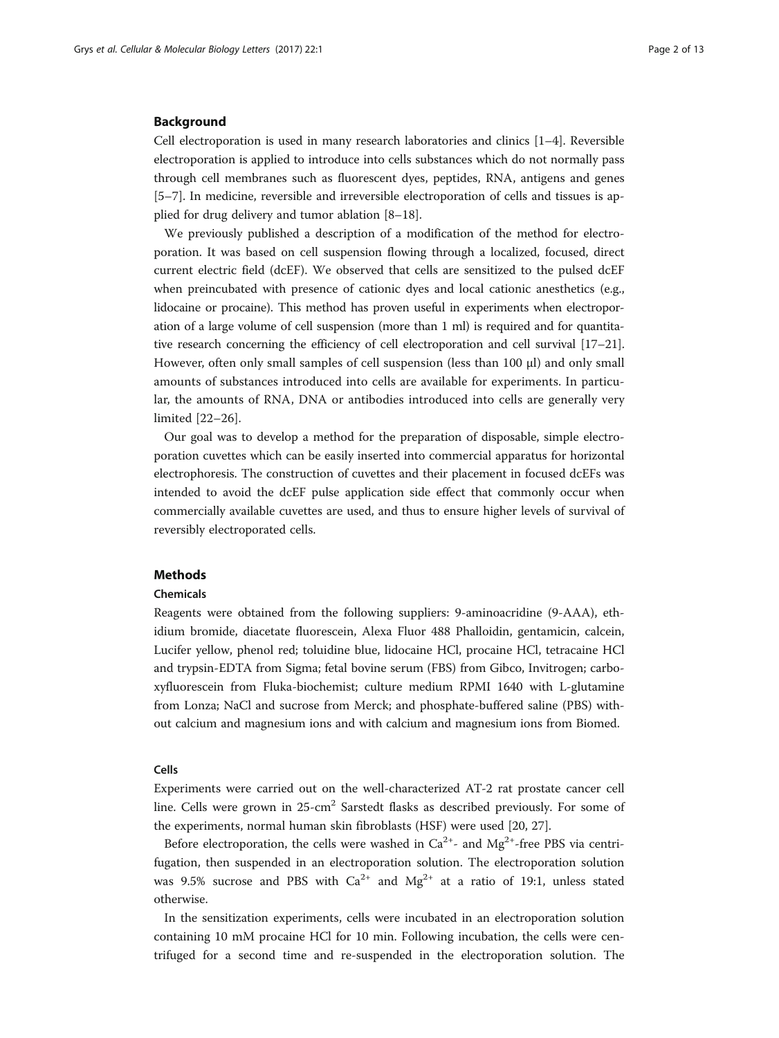## Background

Cell electroporation is used in many research laboratories and clinics  $[1-4]$  $[1-4]$  $[1-4]$  $[1-4]$  $[1-4]$ . Reversible electroporation is applied to introduce into cells substances which do not normally pass through cell membranes such as fluorescent dyes, peptides, RNA, antigens and genes [[5](#page-11-0)–[7\]](#page-11-0). In medicine, reversible and irreversible electroporation of cells and tissues is applied for drug delivery and tumor ablation [[8](#page-11-0)–[18](#page-11-0)].

We previously published a description of a modification of the method for electroporation. It was based on cell suspension flowing through a localized, focused, direct current electric field (dcEF). We observed that cells are sensitized to the pulsed dcEF when preincubated with presence of cationic dyes and local cationic anesthetics (e.g., lidocaine or procaine). This method has proven useful in experiments when electroporation of a large volume of cell suspension (more than 1 ml) is required and for quantitative research concerning the efficiency of cell electroporation and cell survival [\[17](#page-11-0)–[21](#page-11-0)]. However, often only small samples of cell suspension (less than 100 μl) and only small amounts of substances introduced into cells are available for experiments. In particular, the amounts of RNA, DNA or antibodies introduced into cells are generally very limited [[22](#page-11-0)–[26](#page-11-0)].

Our goal was to develop a method for the preparation of disposable, simple electroporation cuvettes which can be easily inserted into commercial apparatus for horizontal electrophoresis. The construction of cuvettes and their placement in focused dcEFs was intended to avoid the dcEF pulse application side effect that commonly occur when commercially available cuvettes are used, and thus to ensure higher levels of survival of reversibly electroporated cells.

## Methods

## Chemicals

Reagents were obtained from the following suppliers: 9-aminoacridine (9-AAA), ethidium bromide, diacetate fluorescein, Alexa Fluor 488 Phalloidin, gentamicin, calcein, Lucifer yellow, phenol red; toluidine blue, lidocaine HCl, procaine HCl, tetracaine HCl and trypsin-EDTA from Sigma; fetal bovine serum (FBS) from Gibco, Invitrogen; carboxyfluorescein from Fluka-biochemist; culture medium RPMI 1640 with L-glutamine from Lonza; NaCl and sucrose from Merck; and phosphate-buffered saline (PBS) without calcium and magnesium ions and with calcium and magnesium ions from Biomed.

## Cells

Experiments were carried out on the well-characterized AT-2 rat prostate cancer cell line. Cells were grown in  $25$ -cm<sup>2</sup> Sarstedt flasks as described previously. For some of the experiments, normal human skin fibroblasts (HSF) were used [[20, 27](#page-11-0)].

Before electroporation, the cells were washed in  $Ca^{2+}$ - and  $Mg^{2+}$ -free PBS via centrifugation, then suspended in an electroporation solution. The electroporation solution was 9.5% sucrose and PBS with  $Ca^{2+}$  and  $Mg^{2+}$  at a ratio of 19:1, unless stated otherwise.

In the sensitization experiments, cells were incubated in an electroporation solution containing 10 mM procaine HCl for 10 min. Following incubation, the cells were centrifuged for a second time and re-suspended in the electroporation solution. The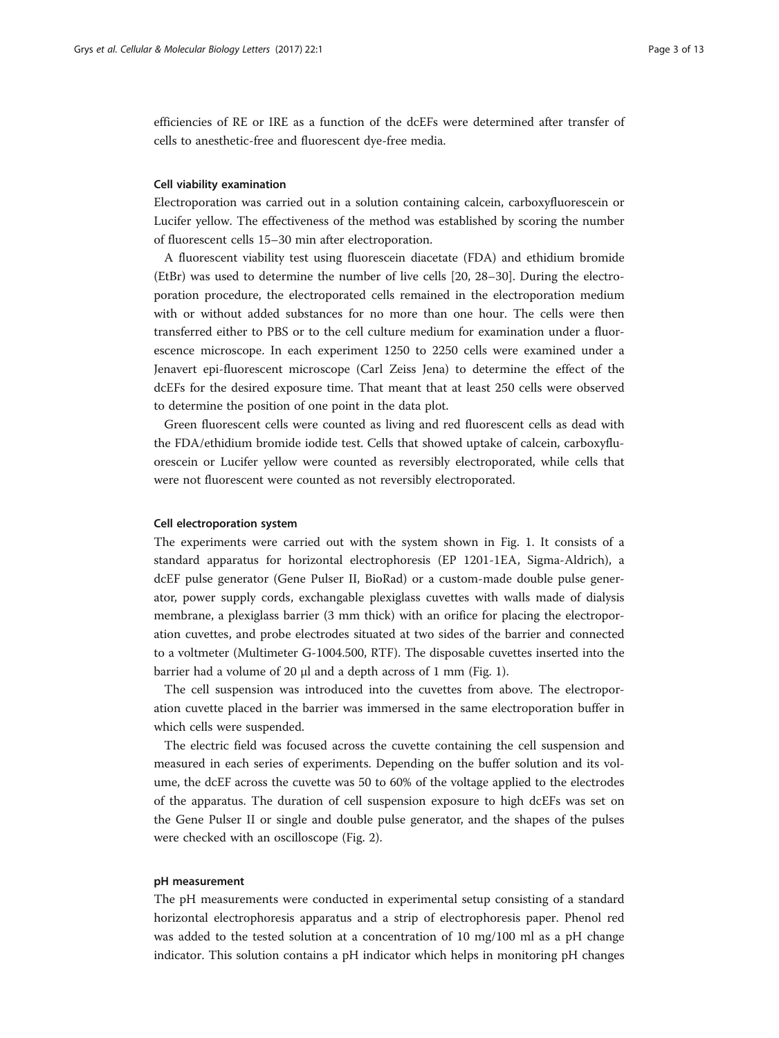efficiencies of RE or IRE as a function of the dcEFs were determined after transfer of cells to anesthetic-free and fluorescent dye-free media.

## Cell viability examination

Electroporation was carried out in a solution containing calcein, carboxyfluorescein or Lucifer yellow. The effectiveness of the method was established by scoring the number of fluorescent cells 15–30 min after electroporation.

A fluorescent viability test using fluorescein diacetate (FDA) and ethidium bromide (EtBr) was used to determine the number of live cells [[20, 28](#page-11-0)–[30\]](#page-11-0). During the electroporation procedure, the electroporated cells remained in the electroporation medium with or without added substances for no more than one hour. The cells were then transferred either to PBS or to the cell culture medium for examination under a fluorescence microscope. In each experiment 1250 to 2250 cells were examined under a Jenavert epi-fluorescent microscope (Carl Zeiss Jena) to determine the effect of the dcEFs for the desired exposure time. That meant that at least 250 cells were observed to determine the position of one point in the data plot.

Green fluorescent cells were counted as living and red fluorescent cells as dead with the FDA/ethidium bromide iodide test. Cells that showed uptake of calcein, carboxyfluorescein or Lucifer yellow were counted as reversibly electroporated, while cells that were not fluorescent were counted as not reversibly electroporated.

## Cell electroporation system

The experiments were carried out with the system shown in Fig. [1.](#page-3-0) It consists of a standard apparatus for horizontal electrophoresis (EP 1201-1EA, Sigma-Aldrich), a dcEF pulse generator (Gene Pulser II, BioRad) or a custom-made double pulse generator, power supply cords, exchangable plexiglass cuvettes with walls made of dialysis membrane, a plexiglass barrier (3 mm thick) with an orifice for placing the electroporation cuvettes, and probe electrodes situated at two sides of the barrier and connected to a voltmeter (Multimeter G-1004.500, RTF). The disposable cuvettes inserted into the barrier had a volume of 20 μl and a depth across of 1 mm (Fig. [1\)](#page-3-0).

The cell suspension was introduced into the cuvettes from above. The electroporation cuvette placed in the barrier was immersed in the same electroporation buffer in which cells were suspended.

The electric field was focused across the cuvette containing the cell suspension and measured in each series of experiments. Depending on the buffer solution and its volume, the dcEF across the cuvette was 50 to 60% of the voltage applied to the electrodes of the apparatus. The duration of cell suspension exposure to high dcEFs was set on the Gene Pulser II or single and double pulse generator, and the shapes of the pulses were checked with an oscilloscope (Fig. [2](#page-4-0)).

## pH measurement

The pH measurements were conducted in experimental setup consisting of a standard horizontal electrophoresis apparatus and a strip of electrophoresis paper. Phenol red was added to the tested solution at a concentration of 10 mg/100 ml as a pH change indicator. This solution contains a pH indicator which helps in monitoring pH changes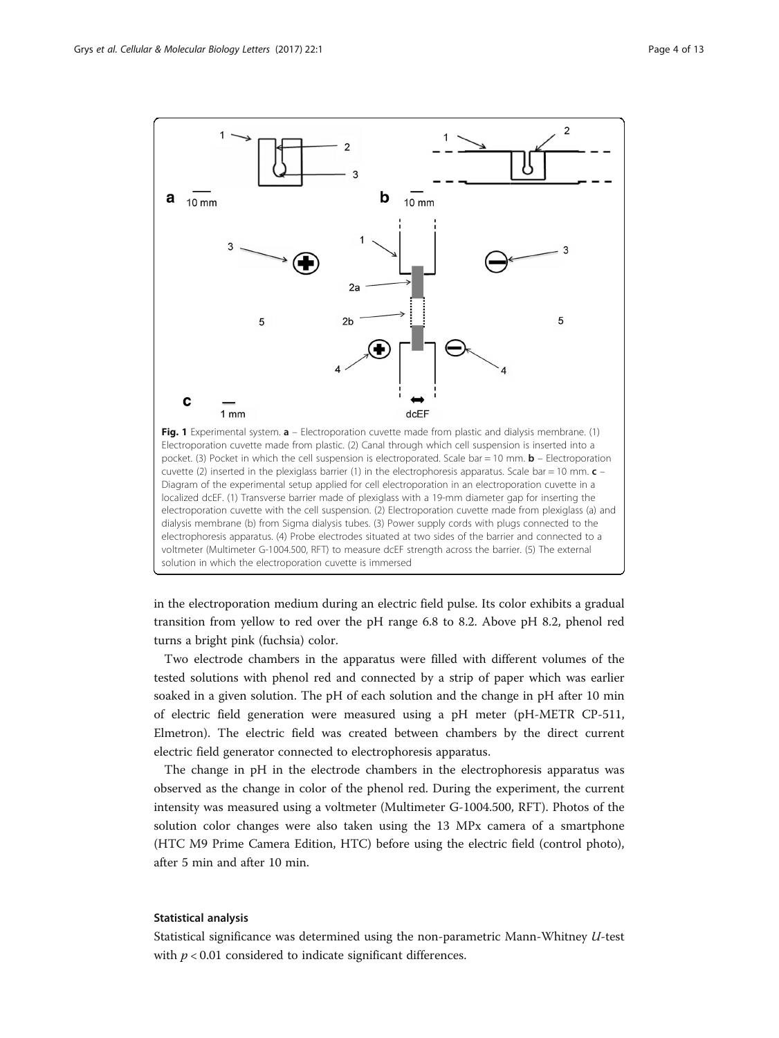<span id="page-3-0"></span>

in the electroporation medium during an electric field pulse. Its color exhibits a gradual transition from yellow to red over the pH range 6.8 to 8.2. Above pH 8.2, phenol red turns a bright pink (fuchsia) color.

Two electrode chambers in the apparatus were filled with different volumes of the tested solutions with phenol red and connected by a strip of paper which was earlier soaked in a given solution. The pH of each solution and the change in pH after 10 min of electric field generation were measured using a pH meter (pH-METR CP-511, Elmetron). The electric field was created between chambers by the direct current electric field generator connected to electrophoresis apparatus.

The change in pH in the electrode chambers in the electrophoresis apparatus was observed as the change in color of the phenol red. During the experiment, the current intensity was measured using a voltmeter (Multimeter G-1004.500, RFT). Photos of the solution color changes were also taken using the 13 MPx camera of a smartphone (HTC M9 Prime Camera Edition, HTC) before using the electric field (control photo), after 5 min and after 10 min.

## Statistical analysis

Statistical significance was determined using the non-parametric Mann-Whitney U-test with  $p < 0.01$  considered to indicate significant differences.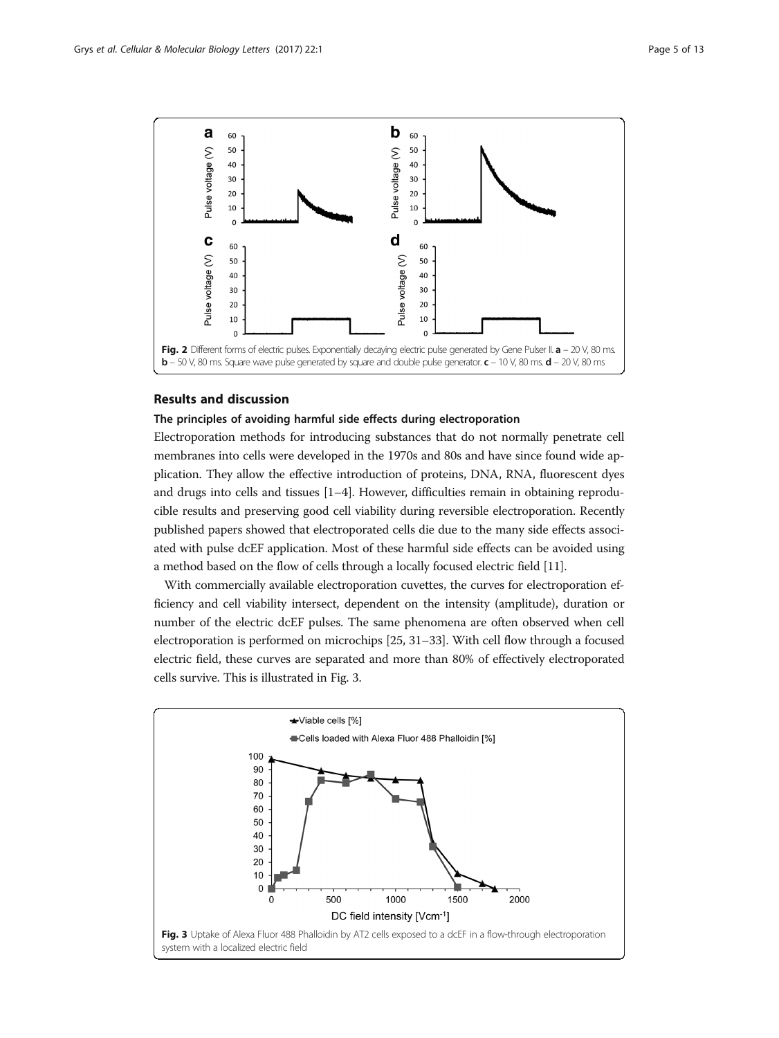<span id="page-4-0"></span>

# Results and discussion

## The principles of avoiding harmful side effects during electroporation

Electroporation methods for introducing substances that do not normally penetrate cell membranes into cells were developed in the 1970s and 80s and have since found wide application. They allow the effective introduction of proteins, DNA, RNA, fluorescent dyes and drugs into cells and tissues [[1](#page-10-0)–[4](#page-11-0)]. However, difficulties remain in obtaining reproducible results and preserving good cell viability during reversible electroporation. Recently published papers showed that electroporated cells die due to the many side effects associated with pulse dcEF application. Most of these harmful side effects can be avoided using a method based on the flow of cells through a locally focused electric field [[11](#page-11-0)].

With commercially available electroporation cuvettes, the curves for electroporation efficiency and cell viability intersect, dependent on the intensity (amplitude), duration or number of the electric dcEF pulses. The same phenomena are often observed when cell electroporation is performed on microchips [\[25](#page-11-0), [31](#page-11-0)–[33\]](#page-11-0). With cell flow through a focused electric field, these curves are separated and more than 80% of effectively electroporated cells survive. This is illustrated in Fig. 3.

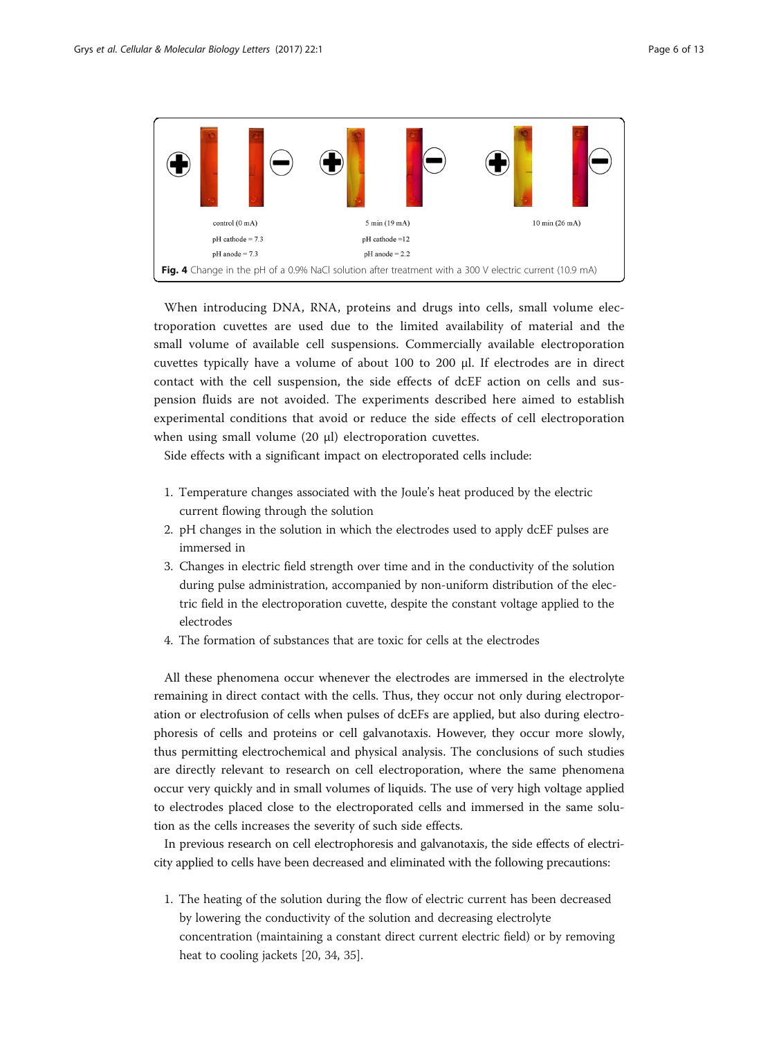<span id="page-5-0"></span>

When introducing DNA, RNA, proteins and drugs into cells, small volume electroporation cuvettes are used due to the limited availability of material and the small volume of available cell suspensions. Commercially available electroporation cuvettes typically have a volume of about 100 to 200 μl. If electrodes are in direct contact with the cell suspension, the side effects of dcEF action on cells and suspension fluids are not avoided. The experiments described here aimed to establish experimental conditions that avoid or reduce the side effects of cell electroporation when using small volume (20 μl) electroporation cuvettes.

Side effects with a significant impact on electroporated cells include:

- 1. Temperature changes associated with the Joule's heat produced by the electric current flowing through the solution
- 2. pH changes in the solution in which the electrodes used to apply dcEF pulses are immersed in
- 3. Changes in electric field strength over time and in the conductivity of the solution during pulse administration, accompanied by non-uniform distribution of the electric field in the electroporation cuvette, despite the constant voltage applied to the electrodes
- 4. The formation of substances that are toxic for cells at the electrodes

All these phenomena occur whenever the electrodes are immersed in the electrolyte remaining in direct contact with the cells. Thus, they occur not only during electroporation or electrofusion of cells when pulses of dcEFs are applied, but also during electrophoresis of cells and proteins or cell galvanotaxis. However, they occur more slowly, thus permitting electrochemical and physical analysis. The conclusions of such studies are directly relevant to research on cell electroporation, where the same phenomena occur very quickly and in small volumes of liquids. The use of very high voltage applied to electrodes placed close to the electroporated cells and immersed in the same solution as the cells increases the severity of such side effects.

In previous research on cell electrophoresis and galvanotaxis, the side effects of electricity applied to cells have been decreased and eliminated with the following precautions:

1. The heating of the solution during the flow of electric current has been decreased by lowering the conductivity of the solution and decreasing electrolyte concentration (maintaining a constant direct current electric field) or by removing heat to cooling jackets [[20](#page-11-0), [34,](#page-11-0) [35\]](#page-11-0).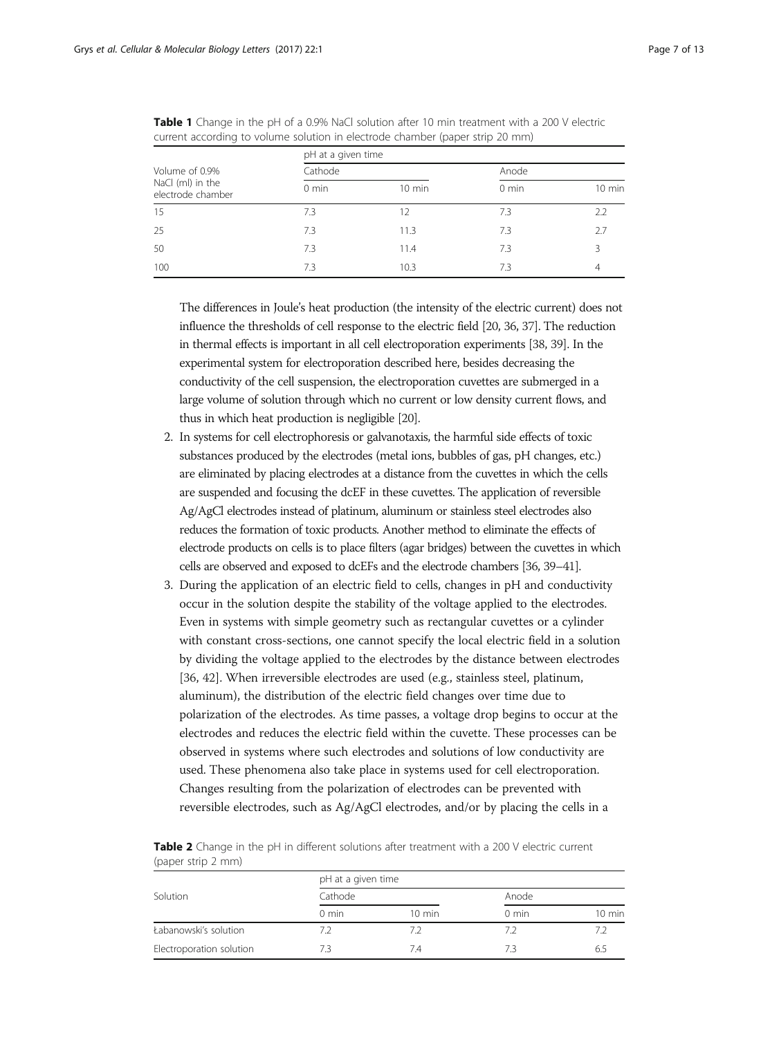| Volume of 0.9%<br>NaCl (ml) in the<br>electrode chamber | pH at a given time |                  |                 |                  |  |  |  |
|---------------------------------------------------------|--------------------|------------------|-----------------|------------------|--|--|--|
|                                                         | Cathode            |                  | Anode           |                  |  |  |  |
|                                                         | $0 \text{ min}$    | $10 \text{ min}$ | $0 \text{ min}$ | $10 \text{ min}$ |  |  |  |
| 15                                                      | 7.3                | 12               | 7.3             | 2.2              |  |  |  |
| 25                                                      | 7.3                | 11.3             | 7.3             | 2.7              |  |  |  |
| 50                                                      | 7.3                | 11.4             | 7.3             |                  |  |  |  |
| 100                                                     | 7.3                | 10.3             | 7.3             | 4                |  |  |  |

<span id="page-6-0"></span>Table 1 Change in the pH of a 0.9% NaCl solution after 10 min treatment with a 200 V electric current according to volume solution in electrode chamber (paper strip 20 mm)

The differences in Joule's heat production (the intensity of the electric current) does not influence the thresholds of cell response to the electric field [[20,](#page-11-0) [36,](#page-11-0) [37\]](#page-11-0). The reduction in thermal effects is important in all cell electroporation experiments [\[38,](#page-11-0) [39\]](#page-11-0). In the experimental system for electroporation described here, besides decreasing the conductivity of the cell suspension, the electroporation cuvettes are submerged in a large volume of solution through which no current or low density current flows, and thus in which heat production is negligible [\[20](#page-11-0)].

- 2. In systems for cell electrophoresis or galvanotaxis, the harmful side effects of toxic substances produced by the electrodes (metal ions, bubbles of gas, pH changes, etc.) are eliminated by placing electrodes at a distance from the cuvettes in which the cells are suspended and focusing the dcEF in these cuvettes. The application of reversible Ag/AgCl electrodes instead of platinum, aluminum or stainless steel electrodes also reduces the formation of toxic products. Another method to eliminate the effects of electrode products on cells is to place filters (agar bridges) between the cuvettes in which cells are observed and exposed to dcEFs and the electrode chambers [\[36](#page-11-0), [39](#page-11-0)–[41\]](#page-12-0).
- 3. During the application of an electric field to cells, changes in pH and conductivity occur in the solution despite the stability of the voltage applied to the electrodes. Even in systems with simple geometry such as rectangular cuvettes or a cylinder with constant cross-sections, one cannot specify the local electric field in a solution by dividing the voltage applied to the electrodes by the distance between electrodes [\[36](#page-11-0), [42\]](#page-12-0). When irreversible electrodes are used (e.g., stainless steel, platinum, aluminum), the distribution of the electric field changes over time due to polarization of the electrodes. As time passes, a voltage drop begins to occur at the electrodes and reduces the electric field within the cuvette. These processes can be observed in systems where such electrodes and solutions of low conductivity are used. These phenomena also take place in systems used for cell electroporation. Changes resulting from the polarization of electrodes can be prevented with reversible electrodes, such as Ag/AgCl electrodes, and/or by placing the cells in a

|                          | pH at a given time |                  |                 |                  |  |  |  |
|--------------------------|--------------------|------------------|-----------------|------------------|--|--|--|
| Solution                 | Cathode            |                  | Anode           |                  |  |  |  |
|                          | $0 \text{ min}$    | $10 \text{ min}$ | $0 \text{ min}$ | $10 \text{ min}$ |  |  |  |
| Łabanowski's solution    | 72                 | 72               | 72              | 72               |  |  |  |
| Electroporation solution | 7 R                | 7.4              | 73              | 6.5              |  |  |  |

| <b>Table 2</b> Change in the pH in different solutions after treatment with a 200 V electric current |  |  |  |  |  |
|------------------------------------------------------------------------------------------------------|--|--|--|--|--|
| (paper strip 2 mm)                                                                                   |  |  |  |  |  |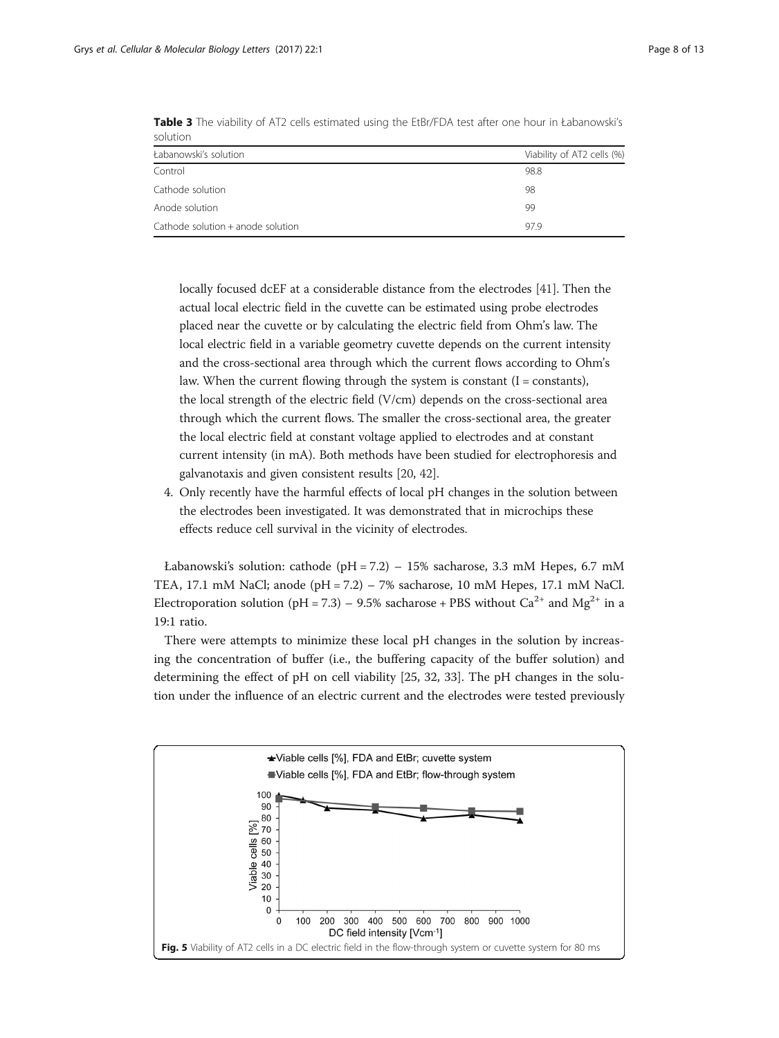| Łabanowski's solution             | Viability of AT2 cells (%) |
|-----------------------------------|----------------------------|
| Control                           | 98.8                       |
| Cathode solution                  | 98                         |
| Anode solution                    | 99                         |
| Cathode solution + anode solution | 97.9                       |

<span id="page-7-0"></span>Table 3 The viability of AT2 cells estimated using the EtBr/FDA test after one hour in Łabanowski's solution

locally focused dcEF at a considerable distance from the electrodes [[41\]](#page-12-0). Then the actual local electric field in the cuvette can be estimated using probe electrodes placed near the cuvette or by calculating the electric field from Ohm's law. The local electric field in a variable geometry cuvette depends on the current intensity and the cross-sectional area through which the current flows according to Ohm's law. When the current flowing through the system is constant  $(I = constant)$ , the local strength of the electric field (V/cm) depends on the cross-sectional area through which the current flows. The smaller the cross-sectional area, the greater the local electric field at constant voltage applied to electrodes and at constant current intensity (in mA). Both methods have been studied for electrophoresis and galvanotaxis and given consistent results [\[20](#page-11-0), [42\]](#page-12-0).

4. Only recently have the harmful effects of local pH changes in the solution between the electrodes been investigated. It was demonstrated that in microchips these effects reduce cell survival in the vicinity of electrodes.

Łabanowski's solution: cathode (pH = 7.2) – 15% sacharose, 3.3 mM Hepes, 6.7 mM TEA, 17.1 mM NaCl; anode (pH = 7.2) – 7% sacharose, 10 mM Hepes, 17.1 mM NaCl. Electroporation solution (pH = 7.3) – 9.5% sacharose + PBS without  $Ca^{2+}$  and  $Mg^{2+}$  in a 19:1 ratio.

There were attempts to minimize these local pH changes in the solution by increasing the concentration of buffer (i.e., the buffering capacity of the buffer solution) and determining the effect of pH on cell viability [\[25](#page-11-0), [32](#page-11-0), [33\]](#page-11-0). The pH changes in the solution under the influence of an electric current and the electrodes were tested previously

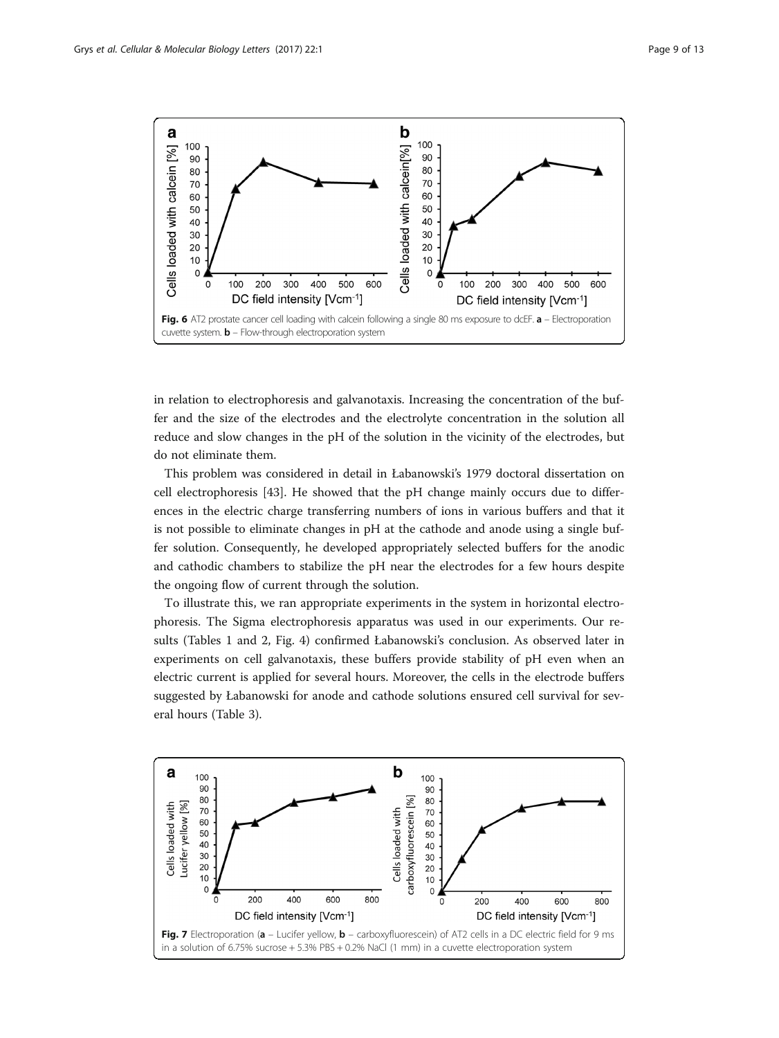<span id="page-8-0"></span>

in relation to electrophoresis and galvanotaxis. Increasing the concentration of the buffer and the size of the electrodes and the electrolyte concentration in the solution all reduce and slow changes in the pH of the solution in the vicinity of the electrodes, but do not eliminate them.

This problem was considered in detail in Łabanowski's 1979 doctoral dissertation on cell electrophoresis [\[43\]](#page-12-0). He showed that the pH change mainly occurs due to differences in the electric charge transferring numbers of ions in various buffers and that it is not possible to eliminate changes in pH at the cathode and anode using a single buffer solution. Consequently, he developed appropriately selected buffers for the anodic and cathodic chambers to stabilize the pH near the electrodes for a few hours despite the ongoing flow of current through the solution.

To illustrate this, we ran appropriate experiments in the system in horizontal electrophoresis. The Sigma electrophoresis apparatus was used in our experiments. Our results (Tables [1](#page-6-0) and [2](#page-6-0), Fig. [4\)](#page-5-0) confirmed Łabanowski's conclusion. As observed later in experiments on cell galvanotaxis, these buffers provide stability of pH even when an electric current is applied for several hours. Moreover, the cells in the electrode buffers suggested by Łabanowski for anode and cathode solutions ensured cell survival for several hours (Table [3\)](#page-7-0).

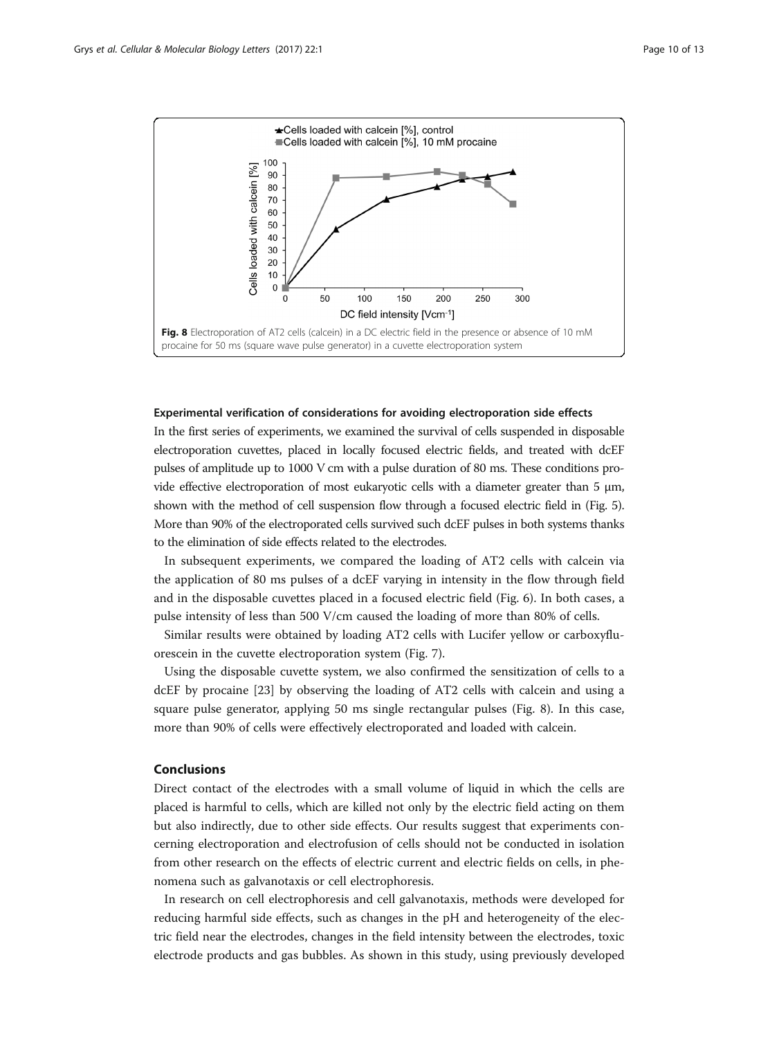

## Experimental verification of considerations for avoiding electroporation side effects

In the first series of experiments, we examined the survival of cells suspended in disposable electroporation cuvettes, placed in locally focused electric fields, and treated with dcEF pulses of amplitude up to 1000 V cm with a pulse duration of 80 ms. These conditions provide effective electroporation of most eukaryotic cells with a diameter greater than 5 μm, shown with the method of cell suspension flow through a focused electric field in (Fig. [5](#page-7-0)). More than 90% of the electroporated cells survived such dcEF pulses in both systems thanks to the elimination of side effects related to the electrodes.

In subsequent experiments, we compared the loading of AT2 cells with calcein via the application of 80 ms pulses of a dcEF varying in intensity in the flow through field and in the disposable cuvettes placed in a focused electric field (Fig. [6](#page-8-0)). In both cases, a pulse intensity of less than 500 V/cm caused the loading of more than 80% of cells.

Similar results were obtained by loading AT2 cells with Lucifer yellow or carboxyfluorescein in the cuvette electroporation system (Fig. [7](#page-8-0)).

Using the disposable cuvette system, we also confirmed the sensitization of cells to a dcEF by procaine [\[23\]](#page-11-0) by observing the loading of AT2 cells with calcein and using a square pulse generator, applying 50 ms single rectangular pulses (Fig. 8). In this case, more than 90% of cells were effectively electroporated and loaded with calcein.

## Conclusions

Direct contact of the electrodes with a small volume of liquid in which the cells are placed is harmful to cells, which are killed not only by the electric field acting on them but also indirectly, due to other side effects. Our results suggest that experiments concerning electroporation and electrofusion of cells should not be conducted in isolation from other research on the effects of electric current and electric fields on cells, in phenomena such as galvanotaxis or cell electrophoresis.

In research on cell electrophoresis and cell galvanotaxis, methods were developed for reducing harmful side effects, such as changes in the pH and heterogeneity of the electric field near the electrodes, changes in the field intensity between the electrodes, toxic electrode products and gas bubbles. As shown in this study, using previously developed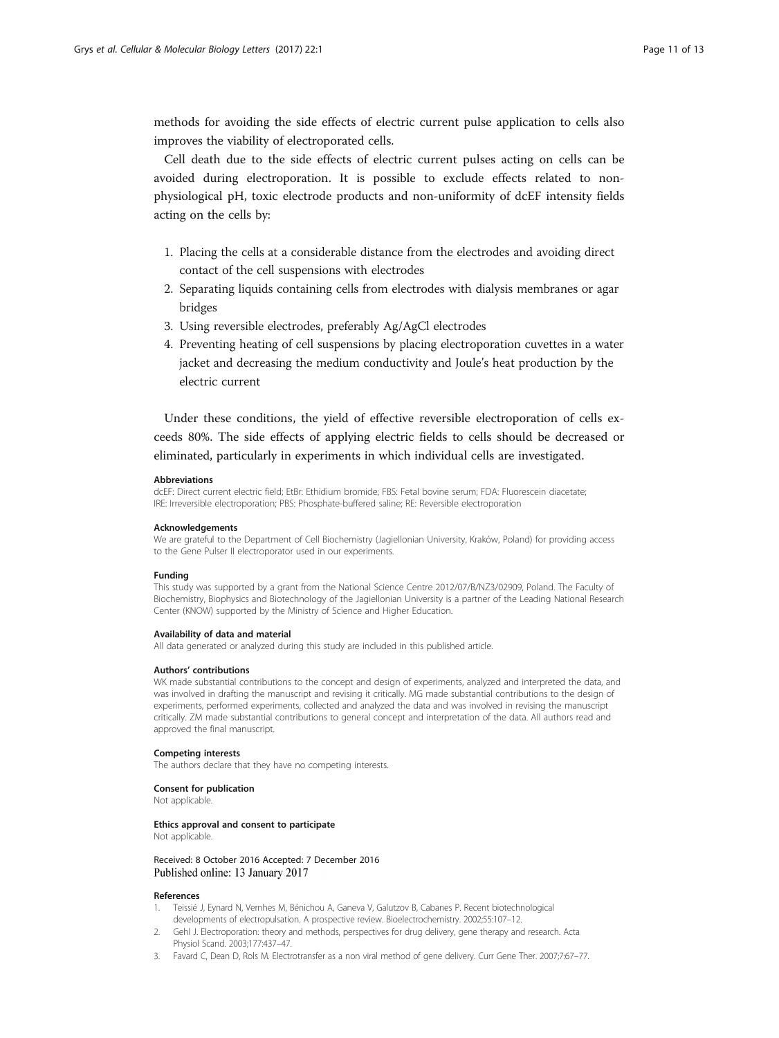<span id="page-10-0"></span>methods for avoiding the side effects of electric current pulse application to cells also improves the viability of electroporated cells.

Cell death due to the side effects of electric current pulses acting on cells can be avoided during electroporation. It is possible to exclude effects related to nonphysiological pH, toxic electrode products and non-uniformity of dcEF intensity fields acting on the cells by:

- 1. Placing the cells at a considerable distance from the electrodes and avoiding direct contact of the cell suspensions with electrodes
- 2. Separating liquids containing cells from electrodes with dialysis membranes or agar bridges
- 3. Using reversible electrodes, preferably Ag/AgCl electrodes
- 4. Preventing heating of cell suspensions by placing electroporation cuvettes in a water jacket and decreasing the medium conductivity and Joule's heat production by the electric current

Under these conditions, the yield of effective reversible electroporation of cells exceeds 80%. The side effects of applying electric fields to cells should be decreased or eliminated, particularly in experiments in which individual cells are investigated.

#### Abbreviations

dcEF: Direct current electric field; EtBr: Ethidium bromide; FBS: Fetal bovine serum; FDA: Fluorescein diacetate; IRE: Irreversible electroporation; PBS: Phosphate-buffered saline; RE: Reversible electroporation

#### Acknowledgements

We are grateful to the Department of Cell Biochemistry (Jagiellonian University, Kraków, Poland) for providing access to the Gene Pulser II electroporator used in our experiments.

## Funding

This study was supported by a grant from the National Science Centre 2012/07/B/NZ3/02909, Poland. The Faculty of Biochemistry, Biophysics and Biotechnology of the Jagiellonian University is a partner of the Leading National Research Center (KNOW) supported by the Ministry of Science and Higher Education.

#### Availability of data and material

All data generated or analyzed during this study are included in this published article.

#### Authors' contributions

WK made substantial contributions to the concept and design of experiments, analyzed and interpreted the data, and was involved in drafting the manuscript and revising it critically. MG made substantial contributions to the design of experiments, performed experiments, collected and analyzed the data and was involved in revising the manuscript critically. ZM made substantial contributions to general concept and interpretation of the data. All authors read and approved the final manuscript.

## Competing interests

The authors declare that they have no competing interests.

#### Consent for publication

Not applicable.

#### Ethics approval and consent to participate Not applicable.

Received: 8 October 2016 Accepted: 7 December 2016 Published online: 13 January 2017

#### References

- 1. Teissié J, Eynard N, Vernhes M, Bénichou A, Ganeva V, Galutzov B, Cabanes P. Recent biotechnological developments of electropulsation. A prospective review. Bioelectrochemistry. 2002;55:107–12.
- 2. Gehl J. Electroporation: theory and methods, perspectives for drug delivery, gene therapy and research. Acta Physiol Scand. 2003;177:437–47.
- 3. Favard C, Dean D, Rols M. Electrotransfer as a non viral method of gene delivery. Curr Gene Ther. 2007;7:67–77.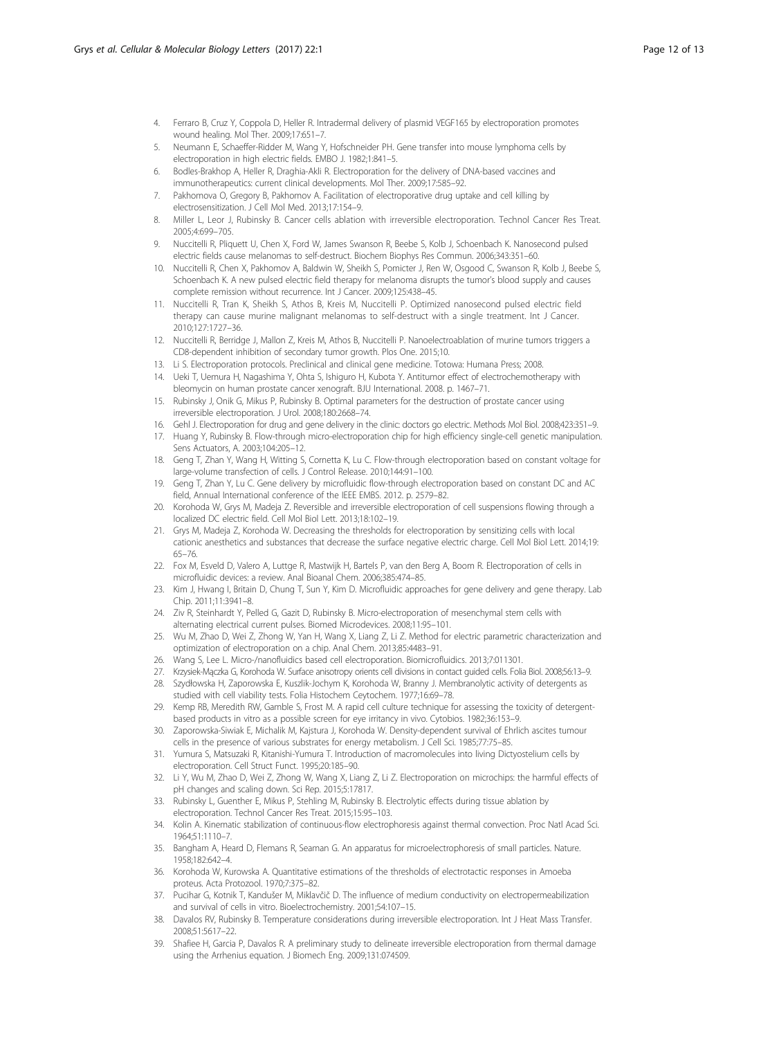- <span id="page-11-0"></span>4. Ferraro B, Cruz Y, Coppola D, Heller R. Intradermal delivery of plasmid VEGF165 by electroporation promotes wound healing. Mol Ther. 2009;17:651–7.
- 5. Neumann E, Schaeffer-Ridder M, Wang Y, Hofschneider PH. Gene transfer into mouse lymphoma cells by electroporation in high electric fields. EMBO J. 1982;1:841–5.
- 6. Bodles-Brakhop A, Heller R, Draghia-Akli R. Electroporation for the delivery of DNA-based vaccines and immunotherapeutics: current clinical developments. Mol Ther. 2009;17:585–92.
- 7. Pakhomova O, Gregory B, Pakhomov A. Facilitation of electroporative drug uptake and cell killing by electrosensitization. J Cell Mol Med. 2013;17:154–9.
- 8. Miller L, Leor J, Rubinsky B. Cancer cells ablation with irreversible electroporation. Technol Cancer Res Treat. 2005;4:699–705.
- 9. Nuccitelli R, Pliquett U, Chen X, Ford W, James Swanson R, Beebe S, Kolb J, Schoenbach K. Nanosecond pulsed electric fields cause melanomas to self-destruct. Biochem Biophys Res Commun. 2006;343:351–60.
- 10. Nuccitelli R, Chen X, Pakhomov A, Baldwin W, Sheikh S, Pomicter J, Ren W, Osgood C, Swanson R, Kolb J, Beebe S, Schoenbach K. A new pulsed electric field therapy for melanoma disrupts the tumor's blood supply and causes complete remission without recurrence. Int J Cancer. 2009;125:438–45.
- 11. Nuccitelli R, Tran K, Sheikh S, Athos B, Kreis M, Nuccitelli P. Optimized nanosecond pulsed electric field therapy can cause murine malignant melanomas to self-destruct with a single treatment. Int J Cancer. 2010;127:1727–36.
- 12. Nuccitelli R, Berridge J, Mallon Z, Kreis M, Athos B, Nuccitelli P. Nanoelectroablation of murine tumors triggers a CD8-dependent inhibition of secondary tumor growth. Plos One. 2015;10.
- 13. Li S. Electroporation protocols. Preclinical and clinical gene medicine. Totowa: Humana Press; 2008.
- 14. Ueki T, Uemura H, Nagashima Y, Ohta S, Ishiguro H, Kubota Y. Antitumor effect of electrochemotherapy with bleomycin on human prostate cancer xenograft. BJU International. 2008. p. 1467–71.
- 15. Rubinsky J, Onik G, Mikus P, Rubinsky B. Optimal parameters for the destruction of prostate cancer using irreversible electroporation. J Urol. 2008;180:2668–74.
- 16. Gehl J. Electroporation for drug and gene delivery in the clinic: doctors go electric. Methods Mol Biol. 2008;423:351–9.
- 17. Huang Y, Rubinsky B. Flow-through micro-electroporation chip for high efficiency single-cell genetic manipulation. Sens Actuators, A. 2003;104:205–12.
- 18. Geng T, Zhan Y, Wang H, Witting S, Cornetta K, Lu C. Flow-through electroporation based on constant voltage for large-volume transfection of cells. J Control Release. 2010;144:91–100.
- 19. Geng T, Zhan Y, Lu C. Gene delivery by microfluidic flow-through electroporation based on constant DC and AC field, Annual International conference of the IEEE EMBS. 2012. p. 2579–82.
- 20. Korohoda W, Grys M, Madeja Z. Reversible and irreversible electroporation of cell suspensions flowing through a localized DC electric field. Cell Mol Biol Lett. 2013;18:102–19.
- 21. Grys M, Madeja Z, Korohoda W. Decreasing the thresholds for electroporation by sensitizing cells with local cationic anesthetics and substances that decrease the surface negative electric charge. Cell Mol Biol Lett. 2014;19: 65–76.
- 22. Fox M, Esveld D, Valero A, Luttge R, Mastwijk H, Bartels P, van den Berg A, Boom R. Electroporation of cells in microfluidic devices: a review. Anal Bioanal Chem. 2006;385:474–85.
- 23. Kim J, Hwang I, Britain D, Chung T, Sun Y, Kim D. Microfluidic approaches for gene delivery and gene therapy. Lab Chip. 2011;11:3941–8.
- 24. Ziv R, Steinhardt Y, Pelled G, Gazit D, Rubinsky B. Micro-electroporation of mesenchymal stem cells with alternating electrical current pulses. Biomed Microdevices. 2008;11:95–101.
- 25. Wu M, Zhao D, Wei Z, Zhong W, Yan H, Wang X, Liang Z, Li Z. Method for electric parametric characterization and optimization of electroporation on a chip. Anal Chem. 2013;85:4483–91.
- 26. Wang S, Lee L. Micro-/nanofluidics based cell electroporation. Biomicrofluidics. 2013;7:011301.
- 27. Krzysiek-Mączka G, Korohoda W. Surface anisotropy orients cell divisions in contact guided cells. Folia Biol. 2008;56:13–9.
- 28. Szydłowska H, Zaporowska E, Kuszlik-Jochym K, Korohoda W, Branny J. Membranolytic activity of detergents as studied with cell viability tests. Folia Histochem Ceytochem. 1977;16:69–78.
- 29. Kemp RB, Meredith RW, Gamble S, Frost M. A rapid cell culture technique for assessing the toxicity of detergentbased products in vitro as a possible screen for eye irritancy in vivo. Cytobios. 1982;36:153–9.
- 30. Zaporowska-Siwiak E, Michalik M, Kajstura J, Korohoda W. Density-dependent survival of Ehrlich ascites tumour cells in the presence of various substrates for energy metabolism. J Cell Sci. 1985;77:75–85.
- 31. Yumura S, Matsuzaki R, Kitanishi-Yumura T. Introduction of macromolecules into living Dictyostelium cells by electroporation. Cell Struct Funct. 1995;20:185–90.
- 32. Li Y, Wu M, Zhao D, Wei Z, Zhong W, Wang X, Liang Z, Li Z. Electroporation on microchips: the harmful effects of pH changes and scaling down. Sci Rep. 2015;5:17817.
- 33. Rubinsky L, Guenther E, Mikus P, Stehling M, Rubinsky B. Electrolytic effects during tissue ablation by electroporation. Technol Cancer Res Treat. 2015;15:95–103.
- 34. Kolin A. Kinematic stabilization of continuous-flow electrophoresis against thermal convection. Proc Natl Acad Sci. 1964;51:1110–7.
- 35. Bangham A, Heard D, Flemans R, Seaman G. An apparatus for microelectrophoresis of small particles. Nature. 1958;182:642–4.
- 36. Korohoda W, Kurowska A. Quantitative estimations of the thresholds of electrotactic responses in Amoeba proteus. Acta Protozool. 1970;7:375–82.
- 37. Pucihar G, Kotnik T, Kandušer M, Miklavčič D. The influence of medium conductivity on electropermeabilization and survival of cells in vitro. Bioelectrochemistry. 2001;54:107–15.
- 38. Davalos RV, Rubinsky B. Temperature considerations during irreversible electroporation. Int J Heat Mass Transfer. 2008;51:5617–22.
- 39. Shafiee H, Garcia P, Davalos R. A preliminary study to delineate irreversible electroporation from thermal damage using the Arrhenius equation. J Biomech Eng. 2009;131:074509.